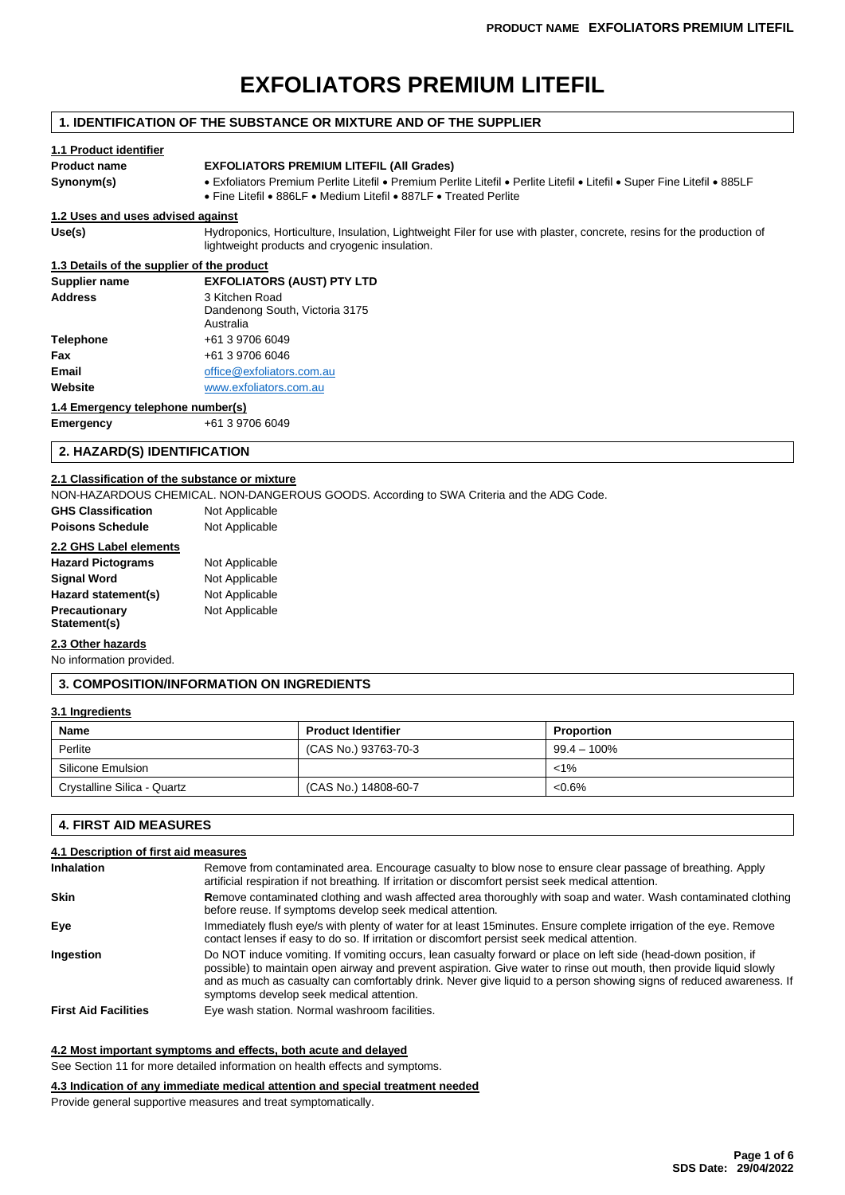# **EXFOLIATORS PREMIUM LITEFIL**

### **1. IDENTIFICATION OF THE SUBSTANCE OR MIXTURE AND OF THE SUPPLIER 1.1 Product identifier Product name EXFOLIATORS PREMIUM LITEFIL (All Grades) Synonym(s)** • Exfoliators Premium Perlite Litefil • Premium Perlite Litefil • Perlite Litefil • Litefil • Super Fine Litefil • 885LF • Fine Litefil • 886LF • Medium Litefil • 887LF • Treated Perlite **1.2 Uses and uses advised against** Use(s) **Hydroponics, Horticulture, Insulation, Lightweight Filer for use with plaster, concrete, resins for the production of** lightweight products and cryogenic insulation. **1.3 Details of the supplier of the product Supplier name EXFOLIATORS (AUST) PTY LTD Address** 3 Kitchen Road Dandenong South, Victoria 3175

|           | Australia                 |
|-----------|---------------------------|
| Telephone | +61 3 9706 6049           |
| Fax       | +61 3 9706 6046           |
| Email     | office@exfoliators.com.au |
| Website   | www.exfoliators.com.au    |
|           |                           |

#### **1.4 Emergency telephone number(s)**

**Emergency** +61 3 9706 6049

#### **2. HAZARD(S) IDENTIFICATION**

### **2.1 Classification of the substance or mixture**

NON-HAZARDOUS CHEMICAL. NON-DANGEROUS GOODS. According to SWA Criteria and the ADG Code.

| <b>GHS Classification</b> | Not Applicable |
|---------------------------|----------------|
| <b>Poisons Schedule</b>   | Not Applicable |

### **2.2 GHS Label elements**

| <b>Hazard Pictograms</b> | Not Applicable |
|--------------------------|----------------|
| Signal Word              | Not Applicable |
| Hazard statement(s)      | Not Applicable |
| Precautionary            | Not Applicable |
| Statement(s)             |                |

### **2.3 Other hazards**

No information provided.

#### **3. COMPOSITION/INFORMATION ON INGREDIENTS**

#### **3.1 Ingredients**

| Name                        | <b>Product Identifier</b> | Proportion     |
|-----------------------------|---------------------------|----------------|
| Perlite                     | (CAS No.) 93763-70-3      | $99.4 - 100\%$ |
| Silicone Emulsion           |                           | $< 1\%$        |
| Crystalline Silica - Quartz | (CAS No.) 14808-60-7      | $< 0.6\%$      |

#### **4. FIRST AID MEASURES**

### **4.1 Description of first aid measures**

| <b>Inhalation</b>           | Remove from contaminated area. Encourage casualty to blow nose to ensure clear passage of breathing. Apply<br>artificial respiration if not breathing. If irritation or discomfort persist seek medical attention.                                                                                                                                                                                        |  |  |
|-----------------------------|-----------------------------------------------------------------------------------------------------------------------------------------------------------------------------------------------------------------------------------------------------------------------------------------------------------------------------------------------------------------------------------------------------------|--|--|
| Skin                        | Remove contaminated clothing and wash affected area thoroughly with soap and water. Wash contaminated clothing<br>before reuse. If symptoms develop seek medical attention.                                                                                                                                                                                                                               |  |  |
| Eve                         | Immediately flush eye/s with plenty of water for at least 15minutes. Ensure complete irrigation of the eye. Remove<br>contact lenses if easy to do so. If irritation or discomfort persist seek medical attention.                                                                                                                                                                                        |  |  |
| Ingestion                   | Do NOT induce vomiting. If vomiting occurs, lean casualty forward or place on left side (head-down position, if<br>possible) to maintain open airway and prevent aspiration. Give water to rinse out mouth, then provide liquid slowly<br>and as much as casualty can comfortably drink. Never give liquid to a person showing signs of reduced awareness. If<br>symptoms develop seek medical attention. |  |  |
| <b>First Aid Facilities</b> | Eye wash station. Normal washroom facilities.                                                                                                                                                                                                                                                                                                                                                             |  |  |

#### **4.2 Most important symptoms and effects, both acute and delayed**

See Section 11 for more detailed information on health effects and symptoms.

**4.3 Indication of any immediate medical attention and special treatment needed**

Provide general supportive measures and treat symptomatically.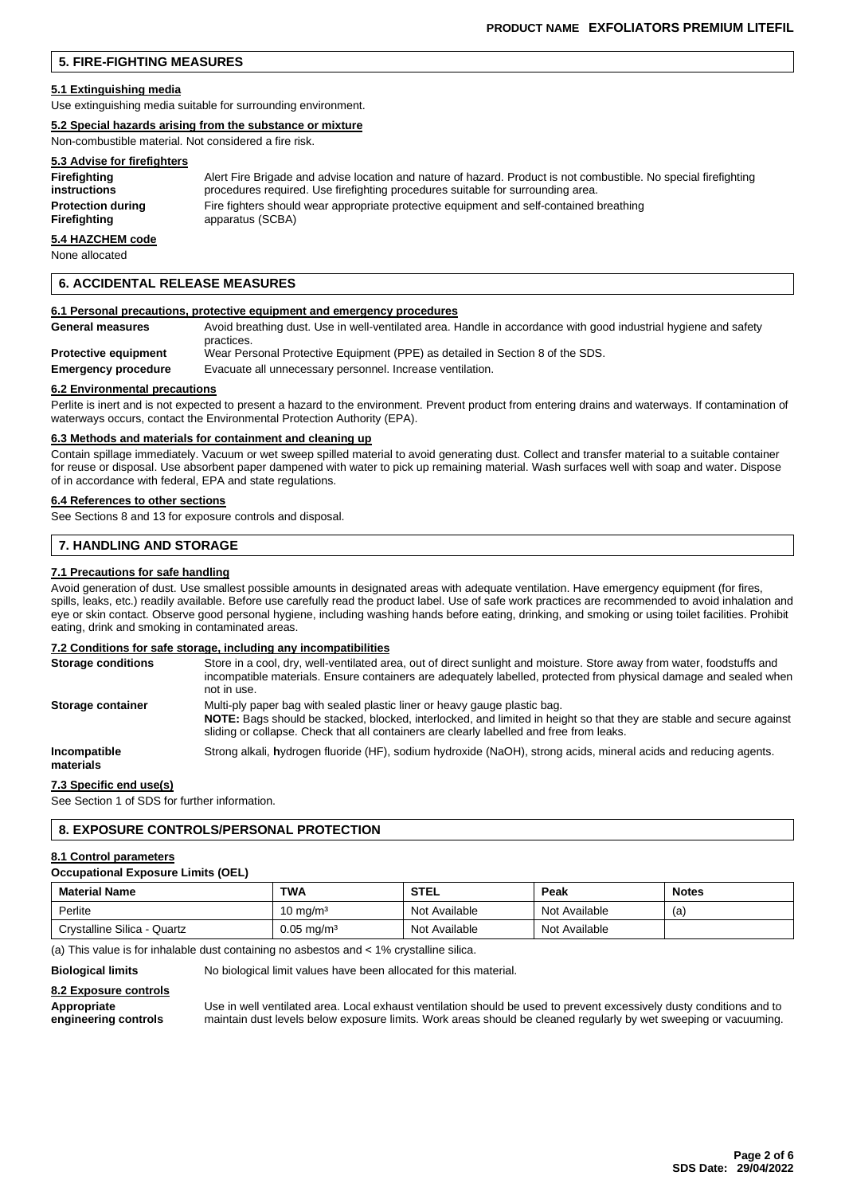### **5. FIRE-FIGHTING MEASURES**

#### **5.1 Extinguishing media**

Use extinguishing media suitable for surrounding environment.

#### **5.2 Special hazards arising from the substance or mixture**

Non-combustible material. Not considered a fire risk.

### **5.3 Advise for firefighters**

| Firefighting             | Alert Fire Brigade and advise location and nature of hazard. Product is not combustible. No special firefighting |
|--------------------------|------------------------------------------------------------------------------------------------------------------|
| instructions             | procedures required. Use firefighting procedures suitable for surrounding area.                                  |
| <b>Protection during</b> | Fire fighters should wear appropriate protective equipment and self-contained breathing                          |
| Firefighting             | apparatus (SCBA)                                                                                                 |

### **5.4 HAZCHEM code**

None allocated

#### **6. ACCIDENTAL RELEASE MEASURES**

#### **6.1 Personal precautions, protective equipment and emergency procedures**

| <b>General measures</b>     | Avoid breathing dust. Use in well-ventilated area. Handle in accordance with good industrial hygiene and safety |
|-----------------------------|-----------------------------------------------------------------------------------------------------------------|
| <b>Protective equipment</b> | practices.<br>Wear Personal Protective Equipment (PPE) as detailed in Section 8 of the SDS.                     |
| <b>Emergency procedure</b>  | Evacuate all unnecessary personnel. Increase ventilation.                                                       |

#### **6.2 Environmental precautions**

Perlite is inert and is not expected to present a hazard to the environment. Prevent product from entering drains and waterways. If contamination of waterways occurs, contact the Environmental Protection Authority (EPA).

#### **6.3 Methods and materials for containment and cleaning up**

Contain spillage immediately. Vacuum or wet sweep spilled material to avoid generating dust. Collect and transfer material to a suitable container for reuse or disposal. Use absorbent paper dampened with water to pick up remaining material. Wash surfaces well with soap and water. Dispose of in accordance with federal, EPA and state regulations.

#### **6.4 References to other sections**

See Sections 8 and 13 for exposure controls and disposal.

#### **7. HANDLING AND STORAGE**

#### **7.1 Precautions for safe handling**

Avoid generation of dust. Use smallest possible amounts in designated areas with adequate ventilation. Have emergency equipment (for fires, spills, leaks, etc.) readily available. Before use carefully read the product label. Use of safe work practices are recommended to avoid inhalation and eye or skin contact. Observe good personal hygiene, including washing hands before eating, drinking, and smoking or using toilet facilities. Prohibit eating, drink and smoking in contaminated areas.

#### **7.2 Conditions for safe storage, including any incompatibilities**

| <b>Storage conditions</b> | Store in a cool, dry, well-ventilated area, out of direct sunlight and moisture. Store away from water, foodstuffs and<br>incompatible materials. Ensure containers are adequately labelled, protected from physical damage and sealed when<br>not in use.                                    |
|---------------------------|-----------------------------------------------------------------------------------------------------------------------------------------------------------------------------------------------------------------------------------------------------------------------------------------------|
| Storage container         | Multi-ply paper bag with sealed plastic liner or heavy gauge plastic bag.<br>NOTE: Bags should be stacked, blocked, interlocked, and limited in height so that they are stable and secure against<br>sliding or collapse. Check that all containers are clearly labelled and free from leaks. |
| Incompatible<br>materials | Strong alkali, hydrogen fluoride (HF), sodium hydroxide (NaOH), strong acids, mineral acids and reducing agents.                                                                                                                                                                              |

#### **7.3 Specific end use(s)**

See Section 1 of SDS for further information.

#### **8. EXPOSURE CONTROLS/PERSONAL PROTECTION**

#### **8.1 Control parameters**

#### **Occupational Exposure Limits (OEL)**

| <b>Material Name</b>        | <b>TWA</b>            | <b>STEL</b>   | Peak          | <b>Notes</b> |
|-----------------------------|-----------------------|---------------|---------------|--------------|
| Perlite                     | 10 mg/mª              | Not Available | Not Available | (a)          |
| Crystalline Silica - Quartz | $0.05 \text{ mg/m}^3$ | Not Available | Not Available |              |

(a) This value is for inhalable dust containing no asbestos and < 1% crystalline silica.

**Biological limits** No biological limit values have been allocated for this material.

### **8.2 Exposure controls**

**Appropriate** Use in well ventilated area. Local exhaust ventilation should be used to prevent excessively dusty conditions and to **engineering controls** maintain dust levels below exposure limits. Work areas should be cleaned regularly by wet sweeping or vacuuming.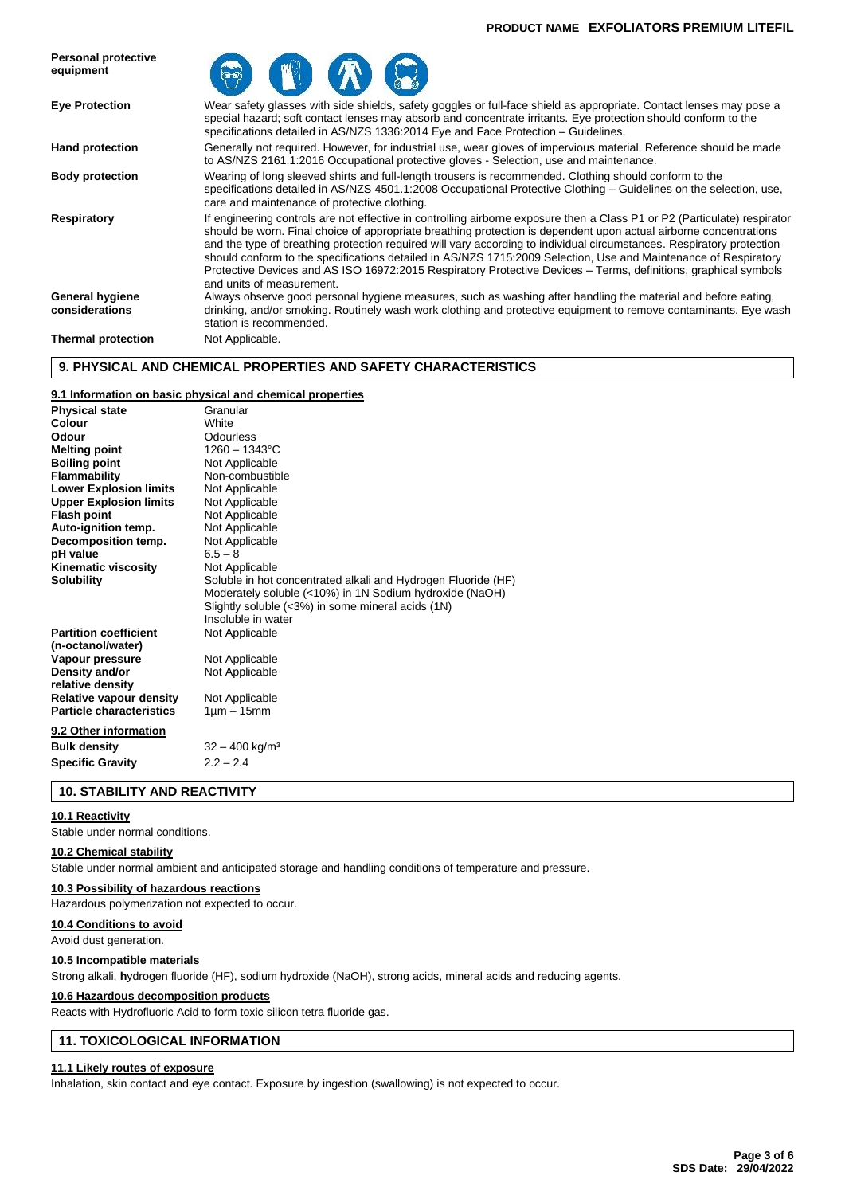#### **PRODUCT NAME EXFOLIATORS PREMIUM LITEFIL**



### **9. PHYSICAL AND CHEMICAL PROPERTIES AND SAFETY CHARACTERISTICS**

#### **9.1 Information on basic physical and chemical properties**

| <b>Physical state</b>           | Granular                                                      |
|---------------------------------|---------------------------------------------------------------|
| Colour                          | White                                                         |
| Odour                           | Odourless                                                     |
| <b>Melting point</b>            | $1260 - 1343$ °C                                              |
| <b>Boiling point</b>            | Not Applicable                                                |
| <b>Flammability</b>             | Non-combustible                                               |
| <b>Lower Explosion limits</b>   | Not Applicable                                                |
| <b>Upper Explosion limits</b>   | Not Applicable                                                |
| <b>Flash point</b>              | Not Applicable                                                |
| Auto-ignition temp.             | Not Applicable                                                |
| Decomposition temp.             | Not Applicable                                                |
| pH value                        | $6.5 - 8$                                                     |
| <b>Kinematic viscosity</b>      | Not Applicable                                                |
| <b>Solubility</b>               | Soluble in hot concentrated alkali and Hydrogen Fluoride (HF) |
|                                 | Moderately soluble (<10%) in 1N Sodium hydroxide (NaOH)       |
|                                 | Slightly soluble (<3%) in some mineral acids (1N)             |
|                                 | Insoluble in water                                            |
| <b>Partition coefficient</b>    | Not Applicable                                                |
| (n-octanol/water)               |                                                               |
| Vapour pressure                 | Not Applicable                                                |
| Density and/or                  | Not Applicable                                                |
| relative density                |                                                               |
| <b>Relative vapour density</b>  | Not Applicable                                                |
| <b>Particle characteristics</b> | $1 \mu m - 15 mm$                                             |
| 9.2 Other information           |                                                               |
| <b>Bulk density</b>             | $32 - 400$ kg/m <sup>3</sup>                                  |
| <b>Specific Gravity</b>         | $2.2 - 2.4$                                                   |
|                                 |                                                               |

### **10. STABILITY AND REACTIVITY**

#### **10.1 Reactivity**

Stable under normal conditions.

#### **10.2 Chemical stability**

Stable under normal ambient and anticipated storage and handling conditions of temperature and pressure.

#### **10.3 Possibility of hazardous reactions**

Hazardous polymerization not expected to occur.

#### **10.4 Conditions to avoid**

Avoid dust generation.

#### **10.5 Incompatible materials**

Strong alkali, **h**ydrogen fluoride (HF), sodium hydroxide (NaOH), strong acids, mineral acids and reducing agents.

#### **10.6 Hazardous decomposition products**

Reacts with Hydrofluoric Acid to form toxic silicon tetra fluoride gas.

### **11. TOXICOLOGICAL INFORMATION**

#### **11.1 Likely routes of exposure**

Inhalation, skin contact and eye contact. Exposure by ingestion (swallowing) is not expected to occur.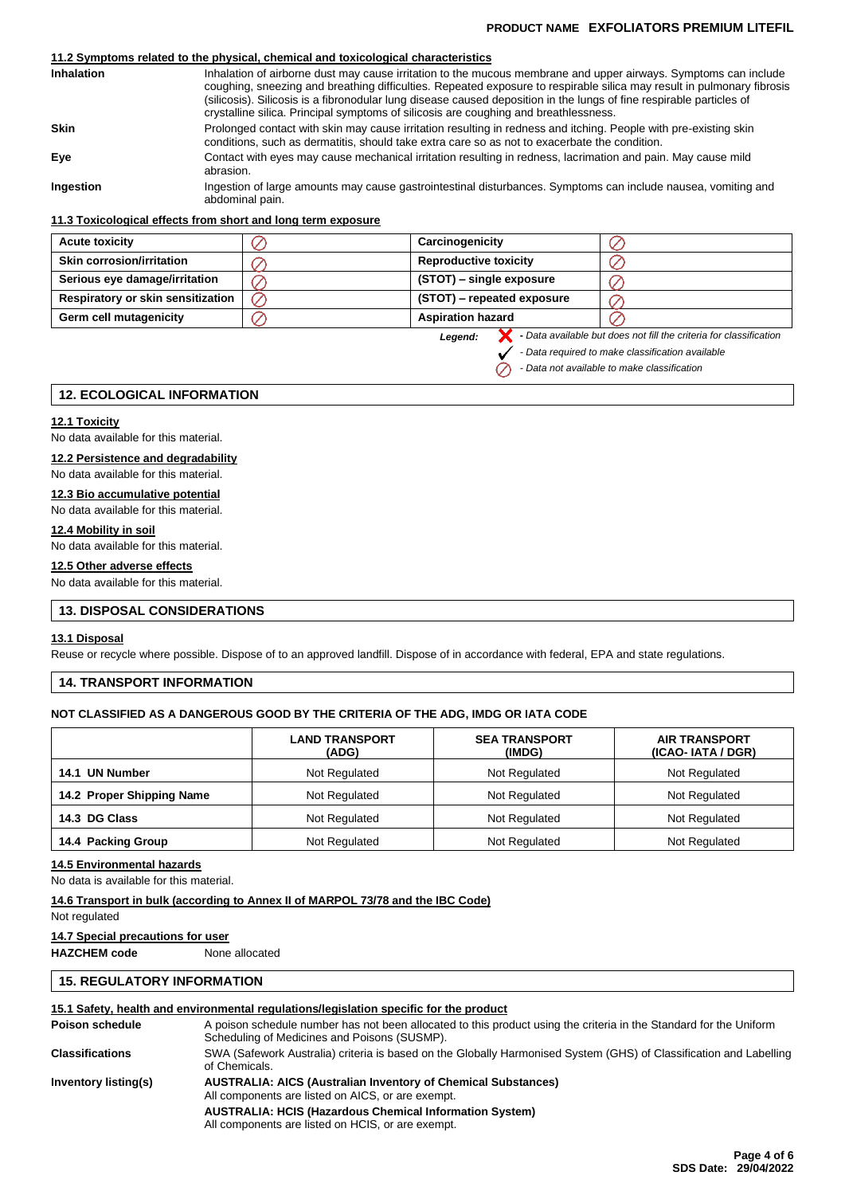#### **PRODUCT NAME EXFOLIATORS PREMIUM LITEFIL**

### **11.2 Symptoms related to the physical, chemical and toxicological characteristics**

| <b>Inhalation</b> | Inhalation of airborne dust may cause irritation to the mucous membrane and upper airways. Symptoms can include<br>coughing, sneezing and breathing difficulties. Repeated exposure to respirable silica may result in pulmonary fibrosis<br>(silicosis). Silicosis is a fibronodular lung disease caused deposition in the lungs of fine respirable particles of<br>crystalline silica. Principal symptoms of silicosis are coughing and breathlessness. |
|-------------------|-----------------------------------------------------------------------------------------------------------------------------------------------------------------------------------------------------------------------------------------------------------------------------------------------------------------------------------------------------------------------------------------------------------------------------------------------------------|
| <b>Skin</b>       | Prolonged contact with skin may cause irritation resulting in redness and itching. People with pre-existing skin<br>conditions, such as dermatitis, should take extra care so as not to exacerbate the condition.                                                                                                                                                                                                                                         |
| Eve               | Contact with eyes may cause mechanical irritation resulting in redness, lacrimation and pain. May cause mild<br>abrasion.                                                                                                                                                                                                                                                                                                                                 |
| Ingestion         | Ingestion of large amounts may cause gastrointestinal disturbances. Symptoms can include nausea, vomiting and<br>abdominal pain.                                                                                                                                                                                                                                                                                                                          |

#### **11.3 Toxicological effects from short and long term exposure**

| <b>Acute toxicity</b>                    | Carcinogenicity              |                                                                    |
|------------------------------------------|------------------------------|--------------------------------------------------------------------|
| <b>Skin corrosion/irritation</b>         | <b>Reproductive toxicity</b> |                                                                    |
| Serious eye damage/irritation            | (STOT) – single exposure     |                                                                    |
| <b>Respiratory or skin sensitization</b> | (STOT) – repeated exposure   |                                                                    |
| Germ cell mutagenicity                   | <b>Aspiration hazard</b>     |                                                                    |
|                                          | Legend:                      | - Data available but does not fill the criteria for classification |

*Legend:*

 $\oslash$ 

*- Data required to make classification available*

*- Data not available to make classification*

### **12. ECOLOGICAL INFORMATION**

#### **12.1 Toxicity**

No data available for this material.

### **12.2 Persistence and degradability**

No data available for this material.

### **12.3 Bio accumulative potential**

No data available for this material.

### **12.4 Mobility in soil**

No data available for this material.

### **12.5 Other adverse effects**

No data available for this material.

### **13. DISPOSAL CONSIDERATIONS**

#### **13.1 Disposal**

Reuse or recycle where possible. Dispose of to an approved landfill. Dispose of in accordance with federal, EPA and state regulations.

### **14. TRANSPORT INFORMATION**

#### **NOT CLASSIFIED AS A DANGEROUS GOOD BY THE CRITERIA OF THE ADG, IMDG OR IATA CODE**

|                           | <b>LAND TRANSPORT</b><br>(ADG) | <b>SEA TRANSPORT</b><br>(IMDG) | <b>AIR TRANSPORT</b><br>(ICAO-IATA / DGR) |  |
|---------------------------|--------------------------------|--------------------------------|-------------------------------------------|--|
| <b>UN Number</b><br>14.1  | Not Regulated                  | Not Regulated                  | Not Regulated                             |  |
| 14.2 Proper Shipping Name | Not Regulated                  | Not Regulated                  | Not Regulated                             |  |
| 14.3 DG Class             | Not Regulated<br>Not Regulated |                                | Not Regulated                             |  |
| 14.4 Packing Group        | Not Regulated                  | Not Regulated                  | Not Regulated                             |  |

#### **14.5 Environmental hazards**

No data is available for this material.

#### **14.6 Transport in bulk (according to Annex II of MARPOL 73/78 and the IBC Code)**

Not regulated

#### **14.7 Special precautions for user**

**HAZCHEM code** None allocated

### **15. REGULATORY INFORMATION**

### **15.1 Safety, health and environmental regulations/legislation specific for the product**

| Poison schedule        | A poison schedule number has not been allocated to this product using the criteria in the Standard for the Uniform<br>Scheduling of Medicines and Poisons (SUSMP). |
|------------------------|--------------------------------------------------------------------------------------------------------------------------------------------------------------------|
| <b>Classifications</b> | SWA (Safework Australia) criteria is based on the Globally Harmonised System (GHS) of Classification and Labelling<br>of Chemicals.                                |
| Inventory listing(s)   | <b>AUSTRALIA: AICS (Australian Inventory of Chemical Substances)</b><br>All components are listed on AICS, or are exempt.                                          |
|                        | <b>AUSTRALIA: HCIS (Hazardous Chemical Information System)</b><br>All components are listed on HCIS, or are exempt.                                                |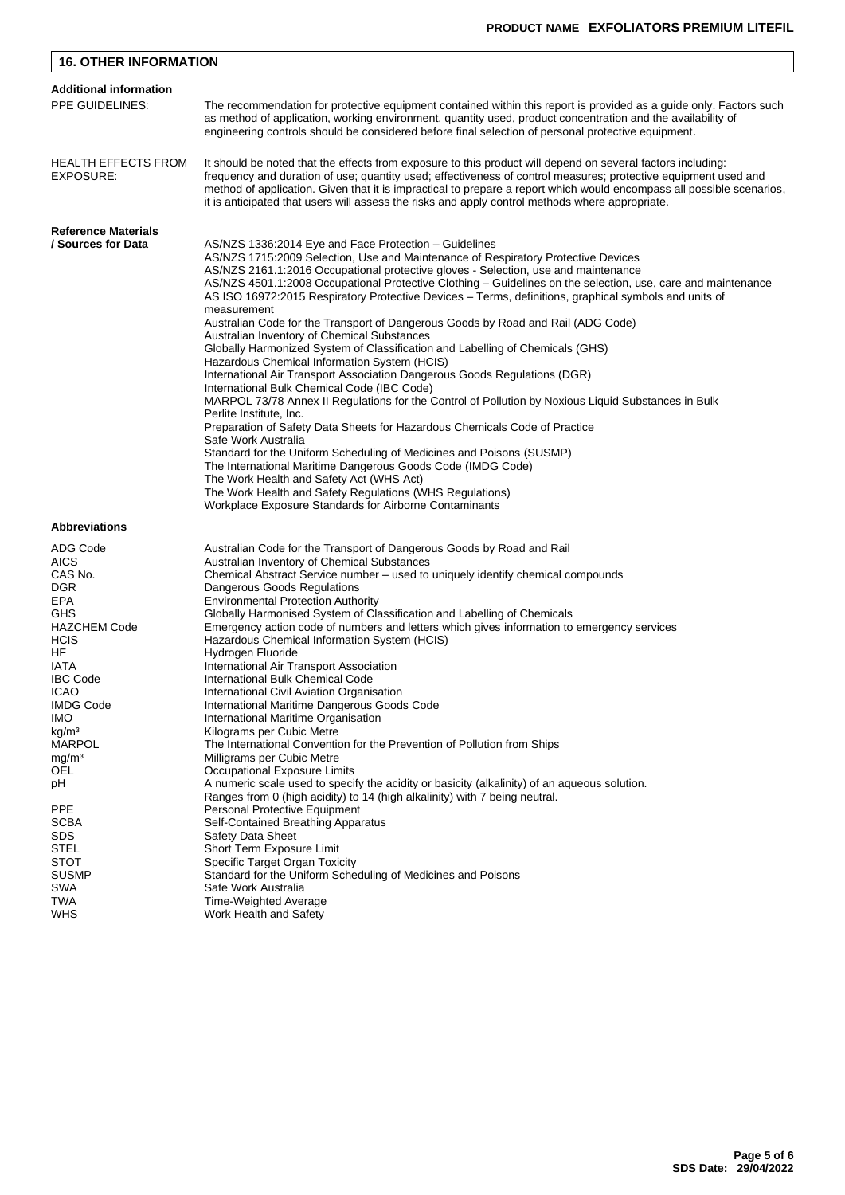| <b>16. OTHER INFORMATION</b>                                                                                                                                                                   |                                                                                                                                                                                                                                                                                                                                                                                                                                                                                                                                                                                                                                                                                                                                                                                                                                                                                                                                                                                                                                                                                                                                                                                                                                                                                                                                                                |  |  |  |  |  |
|------------------------------------------------------------------------------------------------------------------------------------------------------------------------------------------------|----------------------------------------------------------------------------------------------------------------------------------------------------------------------------------------------------------------------------------------------------------------------------------------------------------------------------------------------------------------------------------------------------------------------------------------------------------------------------------------------------------------------------------------------------------------------------------------------------------------------------------------------------------------------------------------------------------------------------------------------------------------------------------------------------------------------------------------------------------------------------------------------------------------------------------------------------------------------------------------------------------------------------------------------------------------------------------------------------------------------------------------------------------------------------------------------------------------------------------------------------------------------------------------------------------------------------------------------------------------|--|--|--|--|--|
| <b>Additional information</b>                                                                                                                                                                  |                                                                                                                                                                                                                                                                                                                                                                                                                                                                                                                                                                                                                                                                                                                                                                                                                                                                                                                                                                                                                                                                                                                                                                                                                                                                                                                                                                |  |  |  |  |  |
| PPE GUIDELINES:                                                                                                                                                                                | The recommendation for protective equipment contained within this report is provided as a guide only. Factors such<br>as method of application, working environment, quantity used, product concentration and the availability of<br>engineering controls should be considered before final selection of personal protective equipment.                                                                                                                                                                                                                                                                                                                                                                                                                                                                                                                                                                                                                                                                                                                                                                                                                                                                                                                                                                                                                        |  |  |  |  |  |
| <b>HEALTH EFFECTS FROM</b><br>EXPOSURE:                                                                                                                                                        | It should be noted that the effects from exposure to this product will depend on several factors including:<br>frequency and duration of use; quantity used; effectiveness of control measures; protective equipment used and<br>method of application. Given that it is impractical to prepare a report which would encompass all possible scenarios,<br>it is anticipated that users will assess the risks and apply control methods where appropriate.                                                                                                                                                                                                                                                                                                                                                                                                                                                                                                                                                                                                                                                                                                                                                                                                                                                                                                      |  |  |  |  |  |
| <b>Reference Materials</b>                                                                                                                                                                     |                                                                                                                                                                                                                                                                                                                                                                                                                                                                                                                                                                                                                                                                                                                                                                                                                                                                                                                                                                                                                                                                                                                                                                                                                                                                                                                                                                |  |  |  |  |  |
| / Sources for Data                                                                                                                                                                             | AS/NZS 1336:2014 Eye and Face Protection – Guidelines<br>AS/NZS 1715:2009 Selection, Use and Maintenance of Respiratory Protective Devices<br>AS/NZS 2161.1:2016 Occupational protective gloves - Selection, use and maintenance<br>AS/NZS 4501.1:2008 Occupational Protective Clothing – Guidelines on the selection, use, care and maintenance<br>AS ISO 16972:2015 Respiratory Protective Devices – Terms, definitions, graphical symbols and units of<br>measurement<br>Australian Code for the Transport of Dangerous Goods by Road and Rail (ADG Code)<br>Australian Inventory of Chemical Substances<br>Globally Harmonized System of Classification and Labelling of Chemicals (GHS)<br>Hazardous Chemical Information System (HCIS)<br>International Air Transport Association Dangerous Goods Regulations (DGR)<br>International Bulk Chemical Code (IBC Code)<br>MARPOL 73/78 Annex II Regulations for the Control of Pollution by Noxious Liquid Substances in Bulk<br>Perlite Institute, Inc.<br>Preparation of Safety Data Sheets for Hazardous Chemicals Code of Practice<br>Safe Work Australia<br>Standard for the Uniform Scheduling of Medicines and Poisons (SUSMP)<br>The International Maritime Dangerous Goods Code (IMDG Code)<br>The Work Health and Safety Act (WHS Act)<br>The Work Health and Safety Regulations (WHS Regulations) |  |  |  |  |  |
| <b>Abbreviations</b>                                                                                                                                                                           | Workplace Exposure Standards for Airborne Contaminants                                                                                                                                                                                                                                                                                                                                                                                                                                                                                                                                                                                                                                                                                                                                                                                                                                                                                                                                                                                                                                                                                                                                                                                                                                                                                                         |  |  |  |  |  |
|                                                                                                                                                                                                |                                                                                                                                                                                                                                                                                                                                                                                                                                                                                                                                                                                                                                                                                                                                                                                                                                                                                                                                                                                                                                                                                                                                                                                                                                                                                                                                                                |  |  |  |  |  |
| ADG Code<br><b>AICS</b><br>CAS No.<br>DGR<br>EPA<br>GHS<br><b>HAZCHEM Code</b><br><b>HCIS</b><br>HF<br>IATA<br><b>IBC Code</b><br><b>ICAO</b><br><b>IMDG Code</b><br>IMO.<br>kg/m <sup>3</sup> | Australian Code for the Transport of Dangerous Goods by Road and Rail<br>Australian Inventory of Chemical Substances<br>Chemical Abstract Service number - used to uniquely identify chemical compounds<br>Dangerous Goods Regulations<br><b>Environmental Protection Authority</b><br>Globally Harmonised System of Classification and Labelling of Chemicals<br>Emergency action code of numbers and letters which gives information to emergency services<br>Hazardous Chemical Information System (HCIS)<br>Hydrogen Fluoride<br>International Air Transport Association<br>International Bulk Chemical Code<br>International Civil Aviation Organisation<br>International Maritime Dangerous Goods Code<br>International Maritime Organisation<br>Kilograms per Cubic Metre                                                                                                                                                                                                                                                                                                                                                                                                                                                                                                                                                                               |  |  |  |  |  |
| <b>MARPOL</b>                                                                                                                                                                                  | The International Convention for the Prevention of Pollution from Ships                                                                                                                                                                                                                                                                                                                                                                                                                                                                                                                                                                                                                                                                                                                                                                                                                                                                                                                                                                                                                                                                                                                                                                                                                                                                                        |  |  |  |  |  |
| mg/m <sup>3</sup><br>OEL                                                                                                                                                                       | Milligrams per Cubic Metre<br>Occupational Exposure Limits                                                                                                                                                                                                                                                                                                                                                                                                                                                                                                                                                                                                                                                                                                                                                                                                                                                                                                                                                                                                                                                                                                                                                                                                                                                                                                     |  |  |  |  |  |
| рH                                                                                                                                                                                             | A numeric scale used to specify the acidity or basicity (alkalinity) of an aqueous solution.                                                                                                                                                                                                                                                                                                                                                                                                                                                                                                                                                                                                                                                                                                                                                                                                                                                                                                                                                                                                                                                                                                                                                                                                                                                                   |  |  |  |  |  |
| <b>PPE</b><br>SCBA<br><b>SDS</b><br><b>STEL</b><br><b>STOT</b><br><b>SUSMP</b><br>SWA<br>TWA<br><b>WHS</b>                                                                                     | Ranges from 0 (high acidity) to 14 (high alkalinity) with 7 being neutral.<br>Personal Protective Equipment<br>Self-Contained Breathing Apparatus<br><b>Safety Data Sheet</b><br>Short Term Exposure Limit<br>Specific Target Organ Toxicity<br>Standard for the Uniform Scheduling of Medicines and Poisons<br>Safe Work Australia<br>Time-Weighted Average<br>Work Health and Safety                                                                                                                                                                                                                                                                                                                                                                                                                                                                                                                                                                                                                                                                                                                                                                                                                                                                                                                                                                         |  |  |  |  |  |